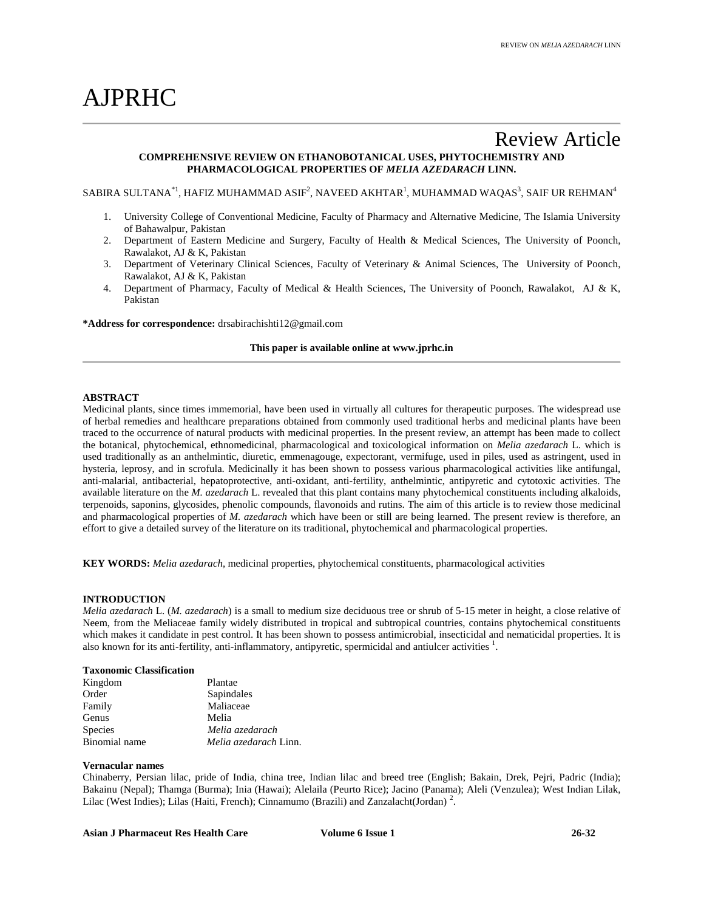# AJPRHC

# Review Article **COMPREHENSIVE REVIEW ON ETHANOBOTANICAL USES, PHYTOCHEMISTRY AND PHARMACOLOGICAL PROPERTIES OF** *MELIA AZEDARACH* **LINN.**

SABIRA SULTANA $^\ast$ ', HAFIZ MUHAMMAD ASIF $^2$ , NAVEED AKHTAR $^1$ , MUHAMMAD WAQAS $^3$ , SAIF UR REHMAN $^4$ 

- 1. University College of Conventional Medicine, Faculty of Pharmacy and Alternative Medicine, The Islamia University of Bahawalpur, Pakistan
- 2. Department of Eastern Medicine and Surgery, Faculty of Health & Medical Sciences, The University of Poonch, Rawalakot, AJ & K, Pakistan
- 3. Department of Veterinary Clinical Sciences, Faculty of Veterinary & Animal Sciences, The University of Poonch, Rawalakot, AJ & K, Pakistan
- 4. Department of Pharmacy, Faculty of Medical & Health Sciences, The University of Poonch, Rawalakot, AJ & K, Pakistan

**\*Address for correspondence:** drsabirachishti12@gmail.com

# **This paper is available online at www.jprhc.in**

# **ABSTRACT**

Medicinal plants, since times immemorial, have been used in virtually all cultures for therapeutic purposes. The widespread use of herbal remedies and healthcare preparations obtained from commonly used traditional herbs and medicinal plants have been traced to the occurrence of natural products with medicinal properties. In the present review, an attempt has been made to collect the botanical, phytochemical, ethnomedicinal, pharmacological and toxicological information on *Melia azedarach* L. which is used traditionally as an anthelmintic, diuretic, emmenagouge, expectorant, vermifuge, used in piles, used as astringent, used in hysteria, leprosy, and in scrofula. Medicinally it has been shown to possess various pharmacological activities like antifungal, anti-malarial, antibacterial, hepatoprotective, anti-oxidant, anti-fertility, anthelmintic, antipyretic and cytotoxic activities. The available literature on the *M. azedarach* L. revealed that this plant contains many phytochemical constituents including alkaloids, terpenoids, saponins, glycosides, phenolic compounds, flavonoids and rutins. The aim of this article is to review those medicinal and pharmacological properties of *M. azedarach* which have been or still are being learned. The present review is therefore, an effort to give a detailed survey of the literature on its traditional, phytochemical and pharmacological properties.

**KEY WORDS:** *Melia azedarach*, medicinal properties, phytochemical constituents, pharmacological activities

#### **INTRODUCTION**

*Melia azedarach* L. (*M. azedarach*) is a small to medium size deciduous tree or shrub of 5-15 meter in height, a close relative of Neem, from the Meliaceae family widely distributed in tropical and subtropical countries, contains phytochemical constituents which makes it candidate in pest control. It has been shown to possess antimicrobial, insecticidal and nematicidal properties. It is also known for its anti-fertility, anti-inflammatory, antipyretic, spermicidal and antiulcer activities <sup>1</sup>.

# **Taxonomic Classification**

| Kingdom        | Plantae                      |
|----------------|------------------------------|
| Order          | Sapindales                   |
| Family         | Maliaceae                    |
| Genus          | Melia                        |
| <b>Species</b> | Melia azedarach              |
| Binomial name  | <i>Melia azedarach Linn.</i> |

# **Vernacular names**

Chinaberry, Persian lilac, pride of India, china tree, Indian lilac and breed tree (English; Bakain, Drek, Pejri, Padric (India); Bakainu (Nepal); Thamga (Burma); Inia (Hawai); Alelaila (Peurto Rice); Jacino (Panama); Aleli (Venzulea); West Indian Lilak, Lilac (West Indies); Lilas (Haiti, French); Cinnamumo (Brazili) and Zanzalacht(Jordan)<sup>2</sup>.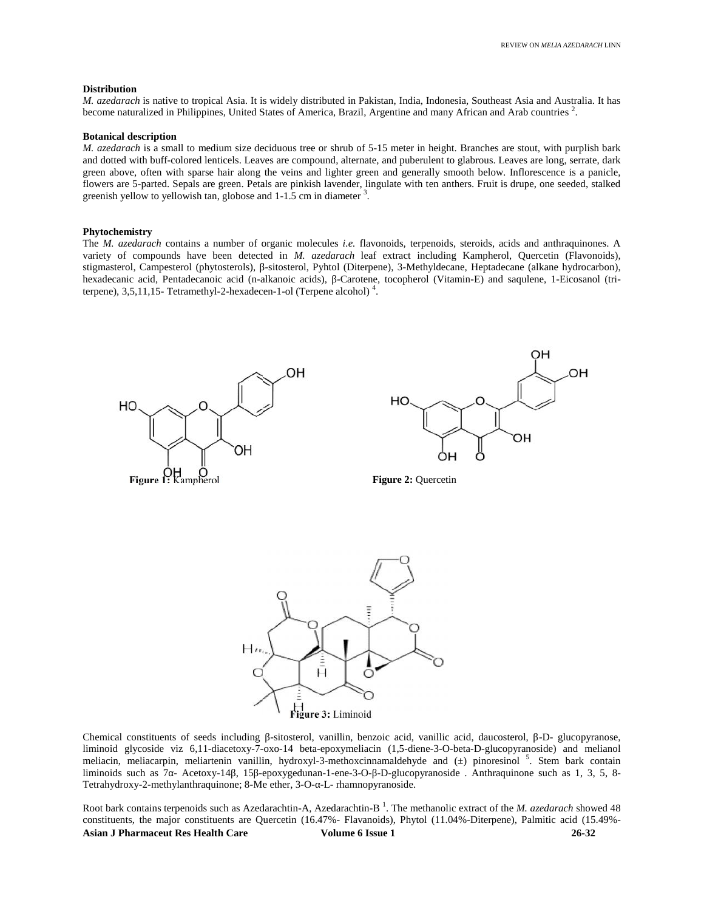#### **Distribution**

*M. azedarach* is native to tropical Asia. It is widely distributed in Pakistan, India, Indonesia, Southeast Asia and Australia. It has *M. azedarach* is native to tropical Asia. It is widely distributed in Pakistan, India, Indonesia, Southeast Asia and Australia. I<br>become naturalized in Philippines, United States of America, Brazil, Argentine and many Afr

#### **Botanical description**

*M. azedarach* is a small to medium size deciduous tree or shrub of 5-15 meter in height. Branches are stout, with purplish bark and dotted with buff-colored lenticels. Leaves are compound, alternate, and puberulent to glabrous. Leaves are long, serrate, dark *M. azedarach* is a small to medium size deciduous tree or shrub of 5-15 meter in height. Branches are stout, with purplish bark<br>and dotted with buff-colored lenticels. Leaves are compound, alternate, and puberulent to gla flowers are 5-parted. Sepals are green. Petals are pinkish lavender, lingulate with ten anthers. Fruit is drupe, one seeded, stalked greenish yellow to yellowish tan, globose and 1-1.5 cm in diameter <sup>3</sup>. greenish yellow to yellowish tan, globose and 1-1.5 cm in diameter <sup>3</sup>.

#### **Phytochemistry Phytochemistry**

The *M. azedarach* contains a number of organic molecules *i.e.* flavonoids, terpenoids, steroids, acids and anthraquinones. A variety of compounds have been detected in *M. azedarach* leaf extract including Kampherol, Quercetin (Flavonoids), stigmasterol, Campesterol (phytosterols), -sitosterol, Pyhtol (Diterpene), 3-Methyldecane, Heptadecane (alkane hydrocarbon), hexadecanic acid, Pentadecanoic acid (n-alkanoic acids), -Carotene, tocopherol (Vitamin-E) and saqulene, 1-Eicosanol (tri-<br>terpene), 3,5,11,15- Tetramethyl-2-hexadecen-1-ol (Terpene alcohol)<sup>4</sup>. terpene), 3,5,11,15- Tetramethyl-2-hexadecen-1-ol (Terpene alcohol) <sup>4</sup> . The *M. azedarach* contains a number of organic molecules *i.e.* flavonoids, terpenoids, steroids, acids and antl<br>variety of compounds have been detected in *M. azedarach* leaf extract including Kampherol, Quercetin<br>stigma







Chemical constituents of seeds including -sitosterol, vanillin, benzoic acid, vanillic acid, daucosterol, -D- glucopyranose, liminoid glycoside viz 6,11-diacetoxy-7-oxo-14 beta-epoxymeliacin (1,5-diene-3-O-beta-D-glucopyranoside) and melianol meliacin, meliacarpin, meliartenin vanillin, hydroxyl-3-methoxcinnamaldehyde and (±) pinoresinol <sup>5</sup>. Stem bark contain liminoids such as 7 - Acetoxy-14, 15 -epoxygedunan-1-ene-3-O- -D-glucopyranoside . Anthraquinone such as 1, 3, 5, 8-Tetrahydroxy-2-methylanthraquinone; 8-Me ether, 3-O- -L- rhamnopyranoside. liminoid glycoside viz 6,11-diacetoxy-7-oxo-14 beta-epoxymeliacin (1,5-diene-3-O-beta-D-glucopyranoside) meliacin, meliacarpin, meliartenin vanillin, hydroxyl-3-methoxcinnamaldehyde and (±) pinoresinol <sup>5</sup>. Stem<br>liminoids

**Asian J Pharmaceut Res Health Care Volume 6 Issue 1 26-32** Root bark contains terpenoids such as Azedarachtin-A, Azedarachtin-B<sup>1</sup>. The methanolic extract of the *M. azedarach* showed 48 constituents, the major constituents are Quercetin (16.47%- Flavanoids), Phytol (11.04%-Diterpene), Palmitic acid (15.49%-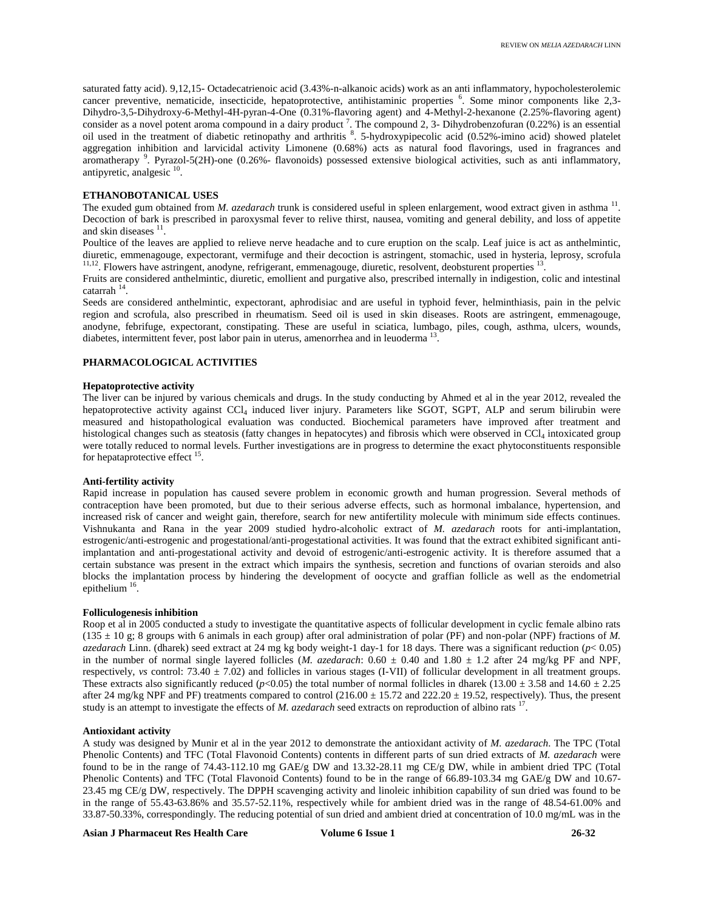saturated fatty acid). 9,12,15- Octadecatrienoic acid (3.43%-n-alkanoic acids) work as an anti inflammatory, hypocholesterolemic cancer preventive, nematicide, insecticide, hepatoprotective, antihistaminic properties <sup>6</sup>. Some minor components like 2,3-Dihydro-3,5-Dihydroxy-6-Methyl-4H-pyran-4-One (0.31%-flavoring agent) and 4-Methyl-2-hexanone (2.25%-flavoring agent) consider as a novel potent aroma compound in a dairy product<sup>7</sup>. The compound 2, 3- Dihydrobenzofuran (0.22%) is an essential oil used in the treatment of diabetic retinopathy and arthritis <sup>8</sup>. 5-hydroxypipecolic acid (0.52%-imino acid) showed platelet aggregation inhibition and larvicidal activity Limonene (0.68%) acts as natural food flavorings, used in fragrances and aromatherapy <sup>9</sup>. Pyrazol-5(2H)-one (0.26%- flavonoids) possessed extensive biological activities, such as anti inflammatory, antipyretic, analgesic <sup>10</sup>.

# **ETHANOBOTANICAL USES**

The exuded gum obtained from *M. azedarach* trunk is considered useful in spleen enlargement, wood extract given in asthma <sup>11</sup>. Decoction of bark is prescribed in paroxysmal fever to relive thirst, nausea, vomiting and general debility, and loss of appetite and skin diseases  $11$ .

Poultice of the leaves are applied to relieve nerve headache and to cure eruption on the scalp. Leaf juice is act as anthelmintic, diuretic, emmenagouge, expectorant, vermifuge and their decoction is astringent, stomachic, used in hysteria, leprosy, scrofula  $11,12$ . Flowers have astringent, anodyne, refrigerant, emmenagouge, diuretic, resolvent, deobsturent properties  $13$ .

Fruits are considered anthelmintic, diuretic, emollient and purgative also, prescribed internally in indigestion, colic and intestinal catarrah <sup>14</sup> .

Seeds are considered anthelmintic, expectorant, aphrodisiac and are useful in typhoid fever, helminthiasis, pain in the pelvic region and scrofula, also prescribed in rheumatism. Seed oil is used in skin diseases. Roots are astringent, emmenagouge, anodyne, febrifuge, expectorant, constipating. These are useful in sciatica, lumbago, piles, cough, asthma, ulcers, wounds, diabetes, intermittent fever, post labor pain in uterus, amenorrhea and in leuoderma<sup>13</sup>.

# **PHARMACOLOGICAL ACTIVITIES**

# **Hepatoprotective activity**

The liver can be injured by various chemicals and drugs. In the study conducting by Ahmed et al in the year 2012, revealed the hepatoprotective activity against CCl<sup>4</sup> induced liver injury. Parameters like SGOT, SGPT, ALP and serum bilirubin were measured and histopathological evaluation was conducted. Biochemical parameters have improved after treatment and histological changes such as steatosis (fatty changes in hepatocytes) and fibrosis which were observed in CCl<sub>4</sub> intoxicated group were totally reduced to normal levels. Further investigations are in progress to determine the exact phytoconstituents responsible for hepataprotective effect <sup>15</sup>.

# **Anti-fertility activity**

Rapid increase in population has caused severe problem in economic growth and human progression. Several methods of contraception have been promoted, but due to their serious adverse effects, such as hormonal imbalance, hypertension, and increased risk of cancer and weight gain, therefore, search for new antifertility molecule with minimum side effects continues. Vishnukanta and Rana in the year 2009 studied hydro-alcoholic extract of *M. azedarach* roots for anti-implantation, estrogenic/anti-estrogenic and progestational/anti-progestational activities. It was found that the extract exhibited significant antiimplantation and anti-progestational activity and devoid of estrogenic/anti-estrogenic activity. It is therefore assumed that a certain substance was present in the extract which impairs the synthesis, secretion and functions of ovarian steroids and also blocks the implantation process by hindering the development of oocycte and graffian follicle as well as the endometrial epithelium  $16$ .

#### **Folliculogenesis inhibition**

Roop et al in 2005 conducted a study to investigate the quantitative aspects of follicular development in cyclic female albino rats  $(135 \pm 10 \text{ g}; 8 \text{ groups with } 6 \text{ animals in each group})$  after oral administration of polar (PF) and non-polar (NPF) fractions of *M*. *azedarach* Linn. (dharek) seed extract at 24 mg kg body weight-1 day-1 for 18 days. There was a significant reduction (*p*< 0.05) in the number of normal single layered follicles (*M. azedarach*:  $0.60 \pm 0.40$  and  $1.80 \pm 1.2$  after 24 mg/kg PF and NPF, respectively, *vs* control:  $73.40 \pm 7.02$ ) and follicles in various stages (I-VII) of follicular development in all treatment groups. These extracts also significantly reduced ( $p<0.05$ ) the total number of normal follicles in dharek (13.00  $\pm$  3.58 and 14.60  $\pm$  2.25 after 24 mg/kg NPF and PF) treatments compared to control  $(216.00 \pm 15.72$  and  $222.20 \pm 19.52$ , respectively). Thus, the present study is an attempt to investigate the effects of *M. azedarach* seed extracts on reproduction of albino rats <sup>17</sup> .

#### **Antioxidant activity**

A study was designed by Munir et al in the year 2012 to demonstrate the antioxidant activity of *M. azedarach*. The TPC (Total Phenolic Contents) and TFC (Total Flavonoid Contents) contents in different parts of sun dried extracts of *M. azedarach* were found to be in the range of 74.43-112.10 mg GAE/g DW and 13.32-28.11 mg CE/g DW, while in ambient dried TPC (Total Phenolic Contents) and TFC (Total Flavonoid Contents) found to be in the range of 66.89-103.34 mg GAE/g DW and 10.67- 23.45 mg CE/g DW, respectively. The DPPH scavenging activity and linoleic inhibition capability of sun dried was found to be in the range of 55.43-63.86% and 35.57-52.11%, respectively while for ambient dried was in the range of 48.54-61.00% and 33.87-50.33%, correspondingly. The reducing potential of sun dried and ambient dried at concentration of 10.0 mg/mL was in the

```
Asian J Pharmaceut Res Health Care Volume 6 Issue 1 26-32
```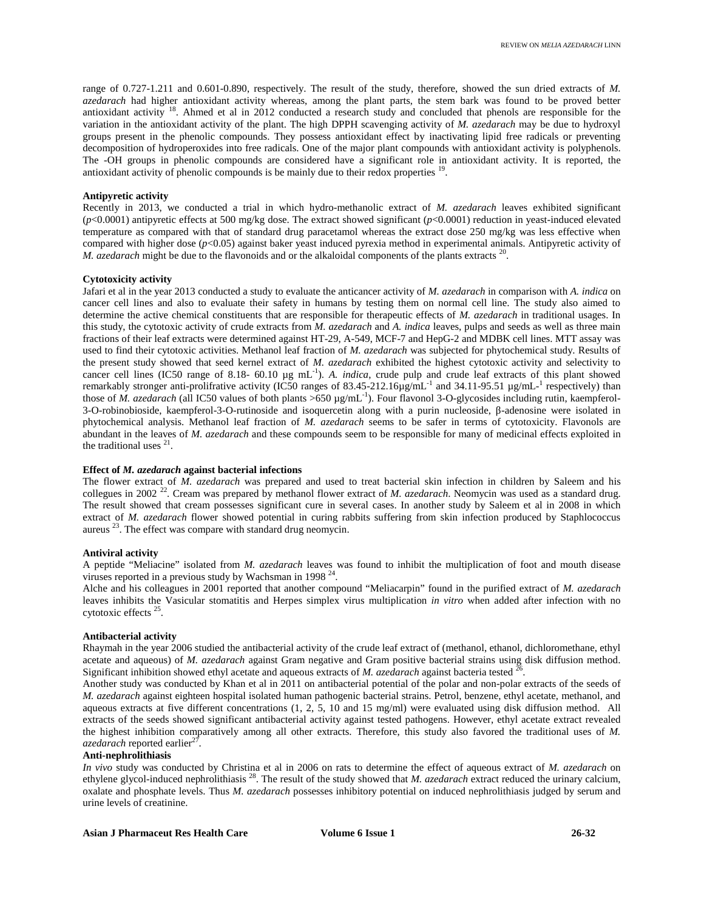range of 0.727-1.211 and 0.601-0.890, respectively. The result of the study, therefore, showed the sun dried extracts of *M. azedarach* had higher antioxidant activity whereas, among the plant parts, the stem bark was found to be proved better antioxidant activity <sup>18</sup>. Ahmed et al in 2012 conducted a research study and concluded that phenols are responsible for the variation in the antioxidant activity of the plant. The high DPPH scavenging activity of *M. azedarach* may be due to hydroxyl groups present in the phenolic compounds. They possess antioxidant effect by inactivating lipid free radicals or preventing decomposition of hydroperoxides into free radicals. One of the major plant compounds with antioxidant activity is polyphenols. The -OH groups in phenolic compounds are considered have a significant role in antioxidant activity. It is reported, the antioxidant activity of phenolic compounds is be mainly due to their redox properties <sup>19</sup>.

# **Antipyretic activity**

Recently in 2013, we conducted a trial in which hydro-methanolic extract of *M. azedarach* leaves exhibited significant (*p*<0.0001) antipyretic effects at 500 mg/kg dose. The extract showed significant (*p*<0.0001) reduction in yeast-induced elevated temperature as compared with that of standard drug paracetamol whereas the extract dose 250 mg/kg was less effective when compared with higher dose ( $p$ <0.05) against baker yeast induced pyrexia method in experimental animals. Antipyretic activity of *M. azedarach* might be due to the flavonoids and or the alkaloidal components of the plants extracts <sup>20</sup>.

# **Cytotoxicity activity**

Jafari et al in the year 2013 conducted a study to evaluate the anticancer activity of *M. azedarach* in comparison with *A. indica* on cancer cell lines and also to evaluate their safety in humans by testing them on normal cell line. The study also aimed to determine the active chemical constituents that are responsible for therapeutic effects of *M. azedarach* in traditional usages. In this study, the cytotoxic activity of crude extracts from *M. azedarach* and *A. indica* leaves, pulps and seeds as well as three main fractions of their leaf extracts were determined against HT-29, A-549, MCF-7 and HepG-2 and MDBK cell lines. MTT assay was used to find their cytotoxic activities. Methanol leaf fraction of *M. azedarach* was subjected for phytochemical study. Results of the present study showed that seed kernel extract of *M. azedarach* exhibited the highest cytotoxic activity and selectivity to cancer cell lines (IC50 range of 8.18-  $60.10 \mu g$  mL<sup>-1</sup>). A. *indica*, crude pulp and crude leaf extracts of this plant showed remarkably stronger anti-prolifrative activity (IC50 ranges of 83.45-212.16 $\mu$ g/mL<sup>-1</sup> and 34.11-95.51  $\mu$ g/mL<sup>-1</sup> respectively) than those of *M. azedarach* (all IC50 values of both plants >650 µg/mL<sup>-1</sup>). Four flavonol 3-O-glycosides including rutin, kaempferol-3-O-robinobioside, kaempferol-3-O-rutinoside and isoquercetin along with a purin nucleoside, -adenosine were isolated in phytochemical analysis. Methanol leaf fraction of *M. azedarach* seems to be safer in terms of cytotoxicity. Flavonols are abundant in the leaves of *M. azedarach* and these compounds seem to be responsible for many of medicinal effects exploited in the traditional uses  $21$ .

# **Effect of** *M. azedarach* **against bacterial infections**

The flower extract of *M. azedarach* was prepared and used to treat bacterial skin infection in children by Saleem and his collegues in 2002<sup>22</sup>. Cream was prepared by methanol flower extract of *M. azedarach*. Neomycin was used as a standard drug. The result showed that cream possesses significant cure in several cases. In another study by Saleem et al in 2008 in which extract of *M. azedarach* flower showed potential in curing rabbits suffering from skin infection produced by Staphlococcus aureus  $^{23}$ . The effect was compare with standard drug neomycin.

#### **Antiviral activity**

A peptide "Meliacine" isolated from *M. azedarach* leaves was found to inhibit the multiplication of foot and mouth disease viruses reported in a previous study by Wachsman in 1998<sup>24</sup>. .

Alche and his colleagues in 2001 reported that another compound "Meliacarpin" found in the purified extract of *M. azedarach* leaves inhibits the Vasicular stomatitis and Herpes simplex virus multiplication *in vitro* when added after infection with no cytotoxic effects<sup>25</sup>.

#### **Antibacterial activity**

Rhaymah in the year 2006 studied the antibacterial activity of the crude leaf extract of (methanol, ethanol, dichloromethane, ethyl acetate and aqueous) of *M. azedarach* against Gram negative and Gram positive bacterial strains using disk diffusion method. Significant inhibition showed ethyl acetate and aqueous extracts of *M. azedarach* against bacteria tested <sup>26</sup>.

Another study was conducted by Khan et al in 2011 on antibacterial potential of the polar and non-polar extracts of the seeds of *M. azedarach* against eighteen hospital isolated human pathogenic bacterial strains. Petrol, benzene, ethyl acetate, methanol, and aqueous extracts at five different concentrations (1, 2, 5, 10 and 15 mg/ml) were evaluated using disk diffusion method. All extracts of the seeds showed significant antibacterial activity against tested pathogens. However, ethyl acetate extract revealed the highest inhibition comparatively among all other extracts. Therefore, this study also favored the traditional uses of *M.* azedarach reported earlier<sup>27</sup>.

# **Anti-nephrolithiasis**

*In vivo* study was conducted by Christina et al in 2006 on rats to determine the effect of aqueous extract of *M. azedarach* on ethylene glycol-induced nephrolithiasis <sup>28</sup>. The result of the study showed that *M. azedarach* extract reduced the urinary calcium, oxalate and phosphate levels. Thus *M. azedarach* possesses inhibitory potential on induced nephrolithiasis judged by serum and urine levels of creatinine.

**Asian J Pharmaceut Res Health Care Volume 6 Issue 1 26-32**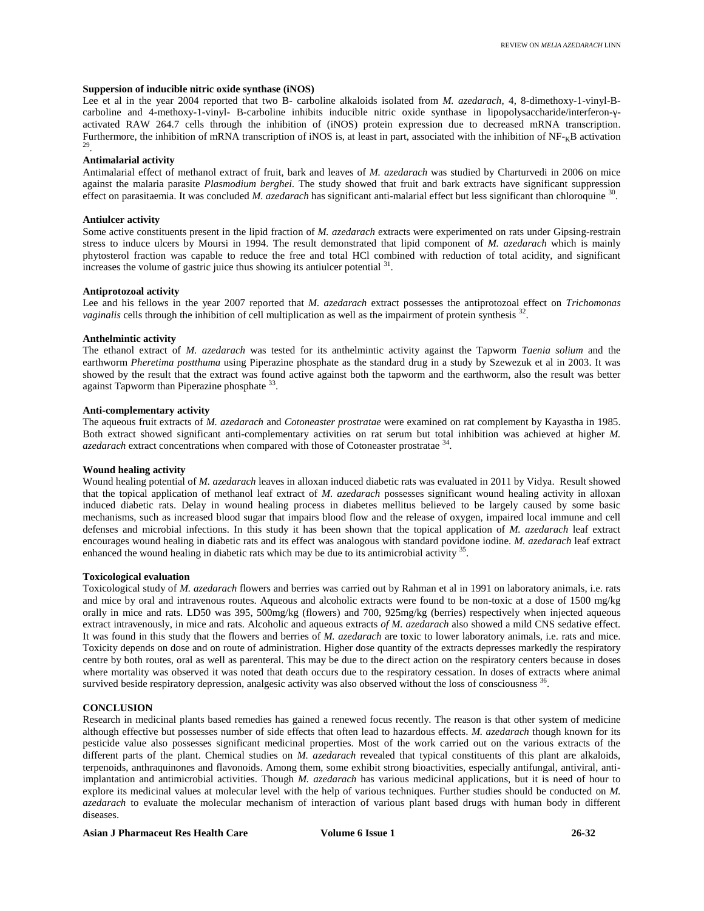#### **Suppersion of inducible nitric oxide synthase (iNOS)**

Lee et al in the year 2004 reported that two B- carboline alkaloids isolated from *M. azedarach*, 4, 8-dimethoxy-1-vinyl-B carboline and 4-methoxy-1-vinyl- B-carboline inhibits inducible nitric oxide synthase in lipopolysaccharide/interferon- activated RAW 264.7 cells through the inhibition of (iNOS) protein expression due to decreased mRNA transcription. Furthermore, the inhibition of mRNA transcription of iNOS is, at least in part, associated with the inhibition of  $NF_{k}B$  activation 29 .

#### **Antimalarial activity**

Antimalarial effect of methanol extract of fruit, bark and leaves of *M. azedarach* was studied by Charturvedi in 2006 on mice against the malaria parasite *Plasmodium berghei*. The study showed that fruit and bark extracts have significant suppression effect on parasitaemia. It was concluded *M. azedarach* has significant anti-malarial effect but less significant than chloroquine <sup>30</sup>.

# **Antiulcer activity**

Some active constituents present in the lipid fraction of *M. azedarach* extracts were experimented on rats under Gipsing-restrain stress to induce ulcers by Moursi in 1994. The result demonstrated that lipid component of *M. azedarach* which is mainly phytosterol fraction was capable to reduce the free and total HCl combined with reduction of total acidity, and significant increases the volume of gastric juice thus showing its antiulcer potential <sup>31</sup>.

#### **Antiprotozoal activity**

Lee and his fellows in the year 2007 reported that *M. azedarach* extract possesses the antiprotozoal effect on *Trichomonas vaginalis* cells through the inhibition of cell multiplication as well as the impairment of protein synthesis <sup>32</sup>.

#### **Anthelmintic activity**

The ethanol extract of *M. azedarach* was tested for its anthelmintic activity against the Tapworm *Taenia solium* and the earthworm *Pheretima postthuma* using Piperazine phosphate as the standard drug in a study by Szewezuk et al in 2003. It was showed by the result that the extract was found active against both the tapworm and the earthworm, also the result was better against Tapworm than Piperazine phosphate  $33$ .

# **Anti-complementary activity**

The aqueous fruit extracts of *M. azedarach* and *Cotoneaster prostratae* were examined on rat complement by Kayastha in 1985. Both extract showed significant anti-complementary activities on rat serum but total inhibition was achieved at higher *M.* azedarach extract concentrations when compared with those of Cotoneaster prostratae <sup>34</sup>.

#### **Wound healing activity**

Wound healing potential of *M. azedarach* leaves in alloxan induced diabetic rats was evaluated in 2011 by Vidya. Result showed that the topical application of methanol leaf extract of *M. azedarach* possesses significant wound healing activity in alloxan induced diabetic rats. Delay in wound healing process in diabetes mellitus believed to be largely caused by some basic mechanisms, such as increased blood sugar that impairs blood flow and the release of oxygen, impaired local immune and cell defenses and microbial infections. In this study it has been shown that the topical application of *M. azedarach* leaf extract encourages wound healing in diabetic rats and its effect was analogous with standard povidone iodine. *M. azedarach* leaf extract enhanced the wound healing in diabetic rats which may be due to its antimicrobial activity <sup>35</sup>.

#### **Toxicological evaluation**

Toxicological study of *M. azedarach* flowers and berries was carried out by Rahman et al in 1991 on laboratory animals, i.e. rats and mice by oral and intravenous routes. Aqueous and alcoholic extracts were found to be non-toxic at a dose of 1500 mg/kg orally in mice and rats. LD50 was 395, 500mg/kg (flowers) and 700, 925mg/kg (berries) respectively when injected aqueous extract intravenously, in mice and rats. Alcoholic and aqueous extracts *of M. azedarach* also showed a mild CNS sedative effect. It was found in this study that the flowers and berries of *M. azedarach* are toxic to lower laboratory animals, i.e. rats and mice. Toxicity depends on dose and on route of administration. Higher dose quantity of the extracts depresses markedly the respiratory centre by both routes, oral as well as parenteral. This may be due to the direct action on the respiratory centers because in doses where mortality was observed it was noted that death occurs due to the respiratory cessation. In doses of extracts where animal survived beside respiratory depression, analgesic activity was also observed without the loss of consciousness <sup>36</sup>.

#### **CONCLUSION**

Research in medicinal plants based remedies has gained a renewed focus recently. The reason is that other system of medicine although effective but possesses number of side effects that often lead to hazardous effects. *M. azedarach* though known for its pesticide value also possesses significant medicinal properties. Most of the work carried out on the various extracts of the different parts of the plant. Chemical studies on *M. azedarach* revealed that typical constituents of this plant are alkaloids, terpenoids, anthraquinones and flavonoids. Among them, some exhibit strong bioactivities, especially antifungal, antiviral, antiimplantation and antimicrobial activities. Though *M. azedarach* has various medicinal applications, but it is need of hour to explore its medicinal values at molecular level with the help of various techniques. Further studies should be conducted on *M. azedarach* to evaluate the molecular mechanism of interaction of various plant based drugs with human body in different diseases.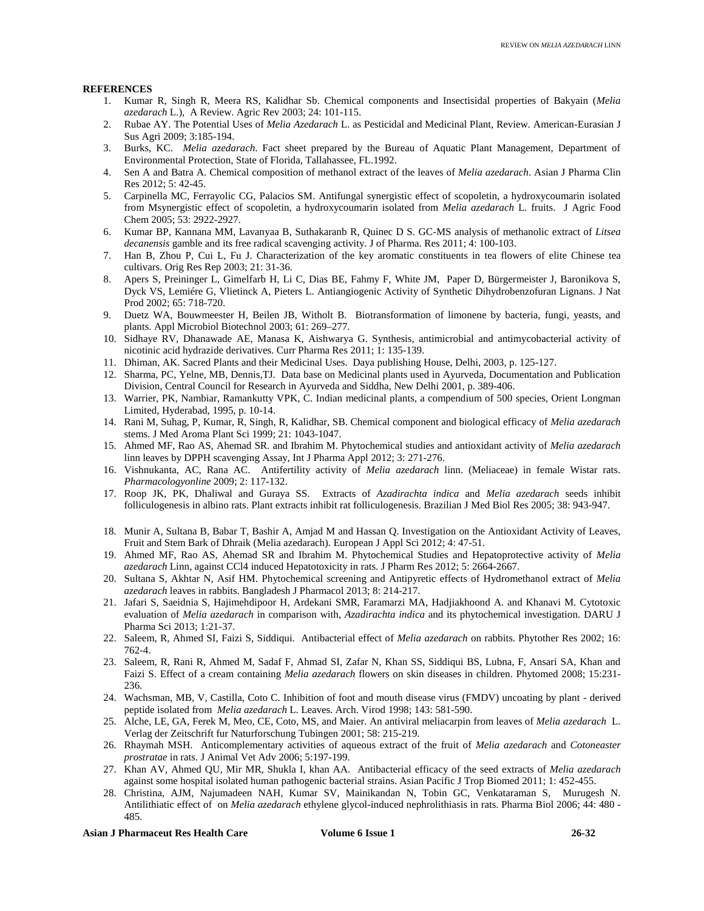# **REFERENCES**

- 1. Kumar R, Singh R, Meera RS, Kalidhar Sb. Chemical components and Insectisidal properties of Bakyain (*Melia azedarach* L.), A Review. Agric Rev 2003; 24: 101-115.
- 2. Rubae AY. The Potential Uses of *Melia Azedarach* L. as Pesticidal and Medicinal Plant, Review. American-Eurasian J Sus Agri 2009; 3:185-194.
- 3. Burks, KC. *Melia azedarach*. Fact sheet prepared by the Bureau of Aquatic Plant Management, Department of Environmental Protection, State of Florida, Tallahassee, FL.1992.
- 4. Sen A and Batra A. Chemical composition of methanol extract of the leaves of *Melia azedarach*. Asian J Pharma Clin Res 2012; 5: 42-45.
- 5. Carpinella MC, Ferrayolic CG, Palacios SM. Antifungal synergistic effect of scopoletin, a hydroxycoumarin isolated from Msynergistic effect of scopoletin, a hydroxycoumarin isolated from *Melia azedarach* L. fruits. J Agric Food Chem 2005; 53: 2922-2927.
- 6. Kumar BP, Kannana MM, Lavanyaa B, Suthakaranb R, Quinec D S. GC-MS analysis of methanolic extract of *Litsea decanensis* gamble and its free radical scavenging activity. J of Pharma. Res 2011; 4: 100-103.
- 7. Han B, Zhou P, Cui L, Fu J. Characterization of the key aromatic constituents in tea flowers of elite Chinese tea cultivars. Orig Res Rep 2003; 21: 31-36.
- 8. Apers S, Preininger L, Gimelfarb H, Li C, Dias BE, Fahmy F, White JM, Paper D, Bürgermeister J, Baronikova S, Dyck VS, Lemiére G, Vlietinck A, Pieters L. Antiangiogenic Activity of Synthetic Dihydrobenzofuran Lignans. J Nat Prod 2002; 65: 718-720.
- 9. Duetz WA, Bouwmeester H, Beilen JB, Witholt B. Biotransformation of limonene by bacteria, fungi, yeasts, and plants. Appl Microbiol Biotechnol 2003; 61: 269–277.
- 10. Sidhaye RV, Dhanawade AE, Manasa K, Aishwarya G. Synthesis, antimicrobial and antimycobacterial activity of nicotinic acid hydrazide derivatives. Curr Pharma Res 2011; 1: 135-139.
- 11. Dhiman, AK. Sacred Plants and their Medicinal Uses. Daya publishing House, Delhi, 2003, p. 125-127.
- 12. Sharma, PC, Yelne, MB, Dennis,TJ. Data base on Medicinal plants used in Ayurveda, Documentation and Publication Division, Central Council for Research in Ayurveda and Siddha, New Delhi 2001, p. 389-406.
- 13. Warrier, PK, Nambiar, Ramankutty VPK, C. Indian medicinal plants, a compendium of 500 species, Orient Longman Limited, Hyderabad, 1995, p. 10-14.
- 14. Rani M, Suhag, P, Kumar, R, Singh, R, Kalidhar, SB. Chemical component and biological efficacy of *Melia azedarach* stems. J Med Aroma Plant Sci 1999; 21: 1043-1047.
- 15. Ahmed MF, Rao AS, Ahemad SR. and Ibrahim M. Phytochemical studies and antioxidant activity of *Melia azedarach* linn leaves by DPPH scavenging Assay, Int J Pharma Appl 2012; 3: 271-276.
- 16. Vishnukanta, AC, Rana AC. Antifertility activity of *Melia azedarach* linn. (Meliaceae) in female Wistar rats. *Pharmacologyonline* 2009; 2: 117-132.
- 17. Roop JK, PK, Dhaliwal and Guraya SS. Extracts of *Azadirachta indica* and *Melia azedarach* seeds inhibit folliculogenesis in albino rats. Plant extracts inhibit rat folliculogenesis. Brazilian J Med Biol Res 2005; 38: 943-947.
- 18. Munir A, Sultana B, Babar T, Bashir A, Amjad M and Hassan Q. Investigation on the Antioxidant Activity of Leaves, Fruit and Stem Bark of Dhraik (Melia azedarach). European J Appl Sci 2012; 4: 47-51.
- 19. Ahmed MF, Rao AS, Ahemad SR and Ibrahim M. Phytochemical Studies and Hepatoprotective activity of *Melia azedarach* Linn, against CCl4 induced Hepatotoxicity in rats. J Pharm Res 2012; 5: 2664-2667.
- 20. Sultana S, Akhtar N, Asif HM. Phytochemical screening and Antipyretic effects of Hydromethanol extract of *Melia azedarach* leaves in rabbits. Bangladesh J Pharmacol 2013; 8: 214-217.
- 21. Jafari S, Saeidnia S, Hajimehdipoor H, Ardekani SMR, Faramarzi MA, Hadjiakhoond A. and Khanavi M. Cytotoxic evaluation of *Melia azedarach* in comparison with, *Azadirachta indica* and its phytochemical investigation. DARU J Pharma Sci 2013; 1:21-37.
- 22. Saleem, R, Ahmed SI, Faizi S, Siddiqui. Antibacterial effect of *Melia azedarach* on rabbits. Phytother Res 2002; 16: 762-4.
- 23. Saleem, R, Rani R, Ahmed M, Sadaf F, Ahmad SI, Zafar N, Khan SS, Siddiqui BS, Lubna, F, Ansari SA, Khan and Faizi S. Effect of a cream containing *Melia azedarach* flowers on skin diseases in children. Phytomed 2008; 15:231- 236.
- 24. Wachsman, MB, V, Castilla, Coto C. Inhibition of foot and mouth disease virus (FMDV) uncoating by plant derived peptide isolated from *Melia azedarach* L. Leaves. Arch. Virod 1998; 143: 581-590.
- 25. Alche, LE, GA, Ferek M, Meo, CE, Coto, MS, and Maier. An antiviral meliacarpin from leaves of *Melia azedarach* L. Verlag der Zeitschrift fur Naturforschung Tubingen 2001; 58: 215-219.
- 26. Rhaymah MSH. Anticomplementary activities of aqueous extract of the fruit of *Melia azedarach* and *Cotoneaster prostratae* in rats. J Animal Vet Adv 2006; 5:197-199.
- 27. Khan AV, Ahmed QU, Mir MR, Shukla I, khan AA. Antibacterial efficacy of the seed extracts of *Melia azedarach* against some hospital isolated human pathogenic bacterial strains. Asian Pacific J Trop Biomed 2011; 1: 452-455.
- 28. Christina, AJM, Najumadeen NAH, Kumar SV, Mainikandan N, Tobin GC, Venkataraman S, Murugesh N. Antilithiatic effect of on *Melia azedarach* ethylene glycol-induced nephrolithiasis in rats. Pharma Biol 2006; 44: 480 - 485.